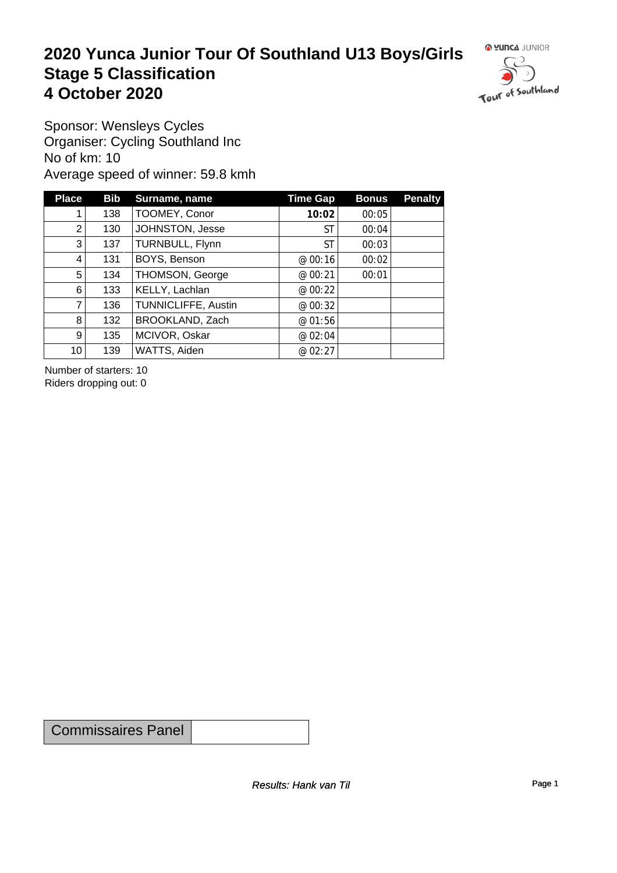#### **2020 Yunca Junior Tour Of Southland U13 Boys/Girls** Stage 5 Classification<br>4 October 2020 **4 October 2020**



Sponsor: Wensleys Cycles Organiser: Cycling Southland Inc No of km: 10 Average speed of winner: 59.8 kmh

| <b>Place</b>    | <b>Bib</b> | Surname, name       | <b>Time Gap</b> | <b>Bonus</b> | <b>Penalty</b> |
|-----------------|------------|---------------------|-----------------|--------------|----------------|
|                 | 138        | TOOMEY, Conor       | 10:02           | 00:05        |                |
| 2               | 130        | JOHNSTON, Jesse     | ST              | 00:04        |                |
| 3 <sub>l</sub>  | 137        | TURNBULL, Flynn     | ST              | 00:03        |                |
| 4               | 131        | BOYS, Benson        | @ 00:16         | 00:02        |                |
| 5               | 134        | THOMSON, George     | @ 00:21         | 00:01        |                |
| 6               | 133        | KELLY, Lachlan      | @ 00:22         |              |                |
| $\overline{7}$  | 136        | TUNNICLIFFE, Austin | @ 00:32         |              |                |
| 8               | 132        | BROOKLAND, Zach     | @01:56          |              |                |
| 9 <sup>1</sup>  | 135        | MCIVOR, Oskar       | @ 02:04         |              |                |
| 10 <sup>1</sup> | 139        | WATTS, Aiden        | @ 02:27         |              |                |

Number of starters: 10 Riders dropping out: 0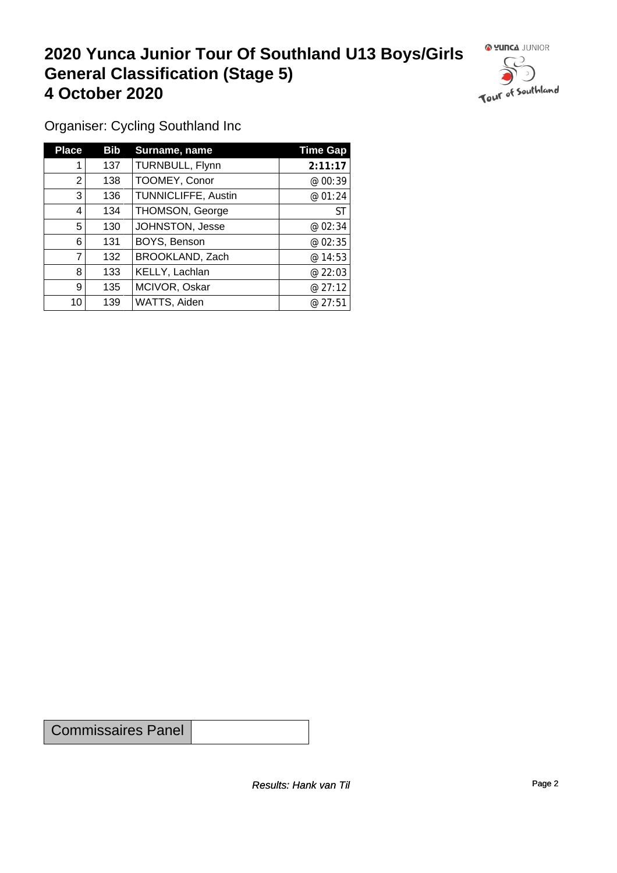## **2020 Yunca Junior Tour Of Southland U13 Boys/Girls General Classification (Stage 5)**<br>
4 October 2020 **4 October 2020**

 $\circ$ 

Organiser: Cycling Southland Inc

| <b>Place</b> | <b>Bib</b> | Surname, name              | <b>Time Gap</b> |
|--------------|------------|----------------------------|-----------------|
|              | 137        | TURNBULL, Flynn            | 2:11:17         |
| 2            | 138        | TOOMEY, Conor              | @ 00:39         |
| 3            | 136        | <b>TUNNICLIFFE, Austin</b> | @ 01:24         |
| 4            | 134        | <b>THOMSON, George</b>     | <b>ST</b>       |
| 5            | 130        | JOHNSTON, Jesse            | @ 02:34         |
| 6            | 131        | BOYS, Benson               | @ 02:35         |
|              | 132        | BROOKLAND, Zach            | @ 14:53         |
| 8            | 133        | KELLY, Lachlan             | @22:03          |
| 9            | 135        | MCIVOR, Oskar              | @27:12          |
| 10           | 139        | WATTS, Aiden               | @27:51          |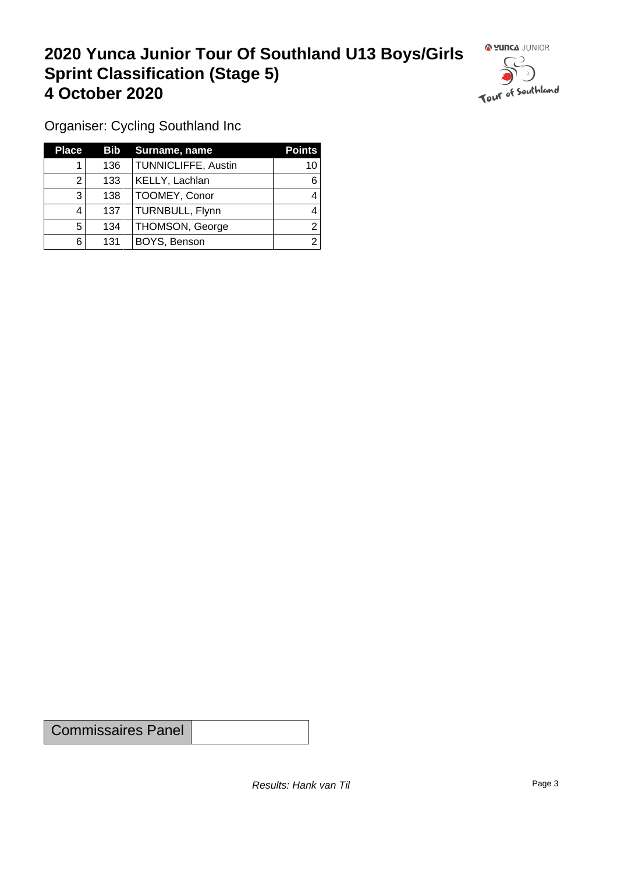### **2020 Yunca Junior Tour Of Southland U13 Boys/Girls Sprint Classification (Stage 5) 4 October 2020 19 Continued to the Continued Southland**



Organiser: Cycling Southland Inc

| <b>Place</b> | Bib | Surname, name          | <b>Points</b> |
|--------------|-----|------------------------|---------------|
|              | 136 | TUNNICLIFFE, Austin    | 10            |
|              | 133 | KELLY, Lachlan         | 6             |
| 3            | 138 | TOOMEY, Conor          |               |
| 4            | 137 | TURNBULL, Flynn        |               |
| 5            | 134 | <b>THOMSON, George</b> |               |
| 6            | 131 | BOYS, Benson           | ົ             |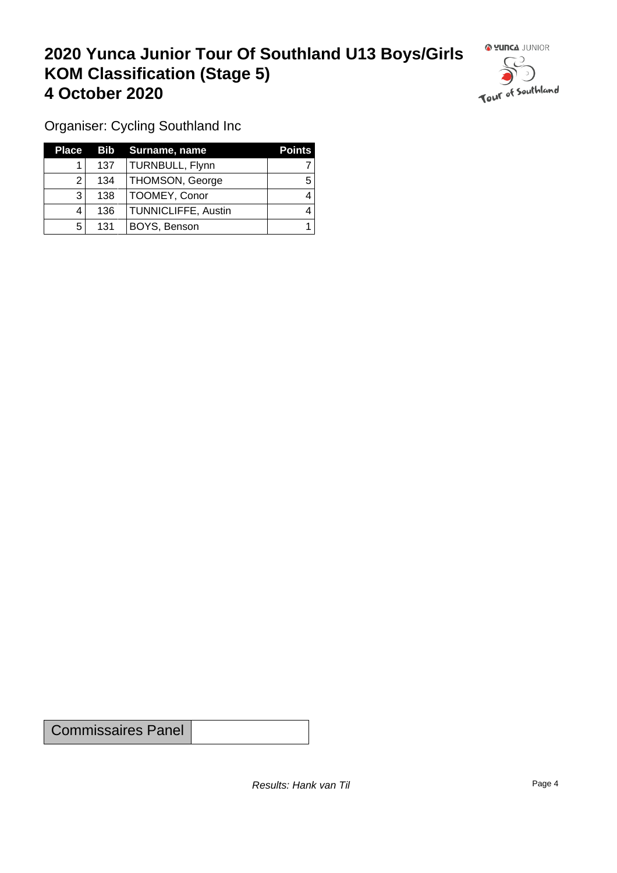### **2020 Yunca Junior Tour Of Southland U13 Boys/Girls KOM Classification (Stage 5) 4 October 2020**



Organiser: Cycling Southland Inc

| Place |     | <b>Bib</b> Surname, name   | <b>Points</b> |
|-------|-----|----------------------------|---------------|
|       | 137 | TURNBULL, Flynn            |               |
| ົ     | 134 | THOMSON, George            | 5             |
| າ     | 138 | TOOMEY, Conor              |               |
|       | 136 | <b>TUNNICLIFFE, Austin</b> |               |
| 5     | 131 | BOYS, Benson               |               |